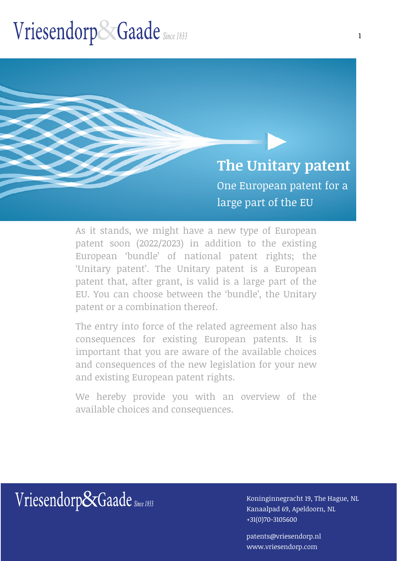**The Unitary patent** One European patent for a large part of the EU

As it stands, we might have a new type of European patent soon (2022/2023) in addition to the existing European 'bundle' of national patent rights; the 'Unitary patent'. The Unitary patent is a European patent that, after grant, is valid is a large part of the EU. You can choose between the 'bundle', the Unitary patent or a combination thereof.

The entry into force of the related agreement also has consequences for existing European patents. It is important that you are aware of the available choices and consequences of the new legislation for your new and existing European patent rights.

We hereby provide you with an overview of the available choices and consequences.

Kanaalpad 69, Apeldoorn, NL +31(0)70-3105600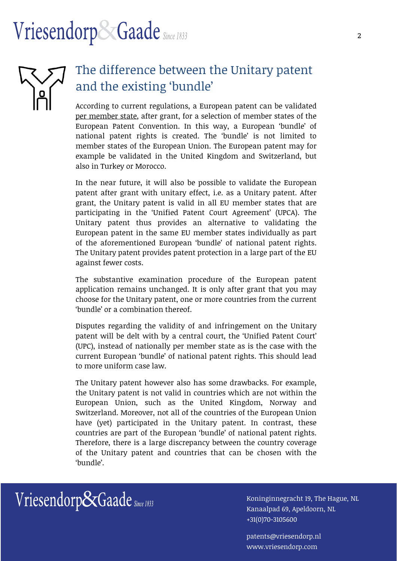

### The difference between the Unitary patent and the existing 'bundle'

According to current regulations, a European patent can be validated per member state, after grant, for a selection of member states of the European Patent Convention. In this way, a European 'bundle' of national patent rights is created. The 'bundle' is not limited to member states of the European Union. The European patent may for example be validated in the United Kingdom and Switzerland, but also in Turkey or Morocco.

In the near future, it will also be possible to validate the European patent after grant with unitary effect, i.e. as a Unitary patent. After grant, the Unitary patent is valid in all EU member states that are participating in the 'Unified Patent Court Agreement' (UPCA). The Unitary patent thus provides an alternative to validating the European patent in the same EU member states individually as part of the aforementioned European 'bundle' of national patent rights. The Unitary patent provides patent protection in a large part of the EU against fewer costs.

The substantive examination procedure of the European patent application remains unchanged. It is only after grant that you may choose for the Unitary patent, one or more countries from the current 'bundle' or a combination thereof.

Disputes regarding the validity of and infringement on the Unitary patent will be delt with by a central court, the 'Unified Patent Court' (UPC), instead of nationally per member state as is the case with the current European 'bundle' of national patent rights. This should lead to more uniform case law.

The Unitary patent however also has some drawbacks. For example, the Unitary patent is not valid in countries which are not within the European Union, such as the United Kingdom, Norway and Switzerland. Moreover, not all of the countries of the European Union have (yet) participated in the Unitary patent. In contrast, these countries are part of the European 'bundle' of national patent rights. Therefore, there is a large discrepancy between the country coverage of the Unitary patent and countries that can be chosen with the 'bundle'.



Kanaalpad 69, Apeldoorn, NL +31(0)70-3105600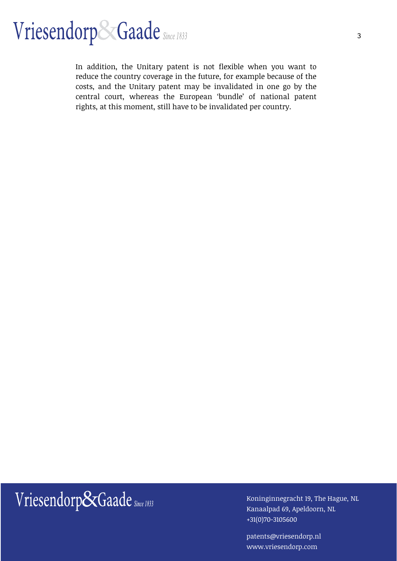In addition, the Unitary patent is not flexible when you want to reduce the country coverage in the future, for example because of the costs, and the Unitary patent may be invalidated in one go by the central court, whereas the European 'bundle' of national patent rights, at this moment, still have to be invalidated per country.

## Wriesendorp&Gaade Since 1833 Koninginnegracht 19, The Hague, NL

Kanaalpad 69, Apeldoorn, NL +31(0)70-3105600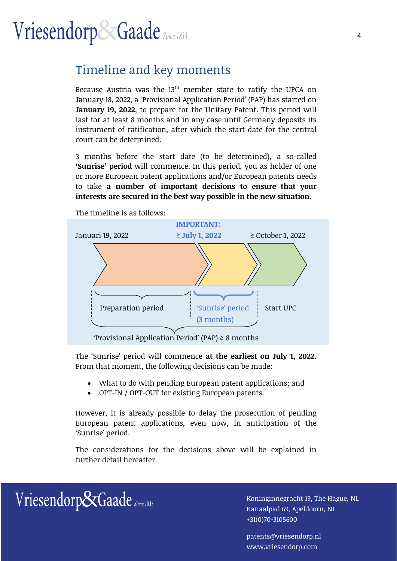### Timeline and key moments

Because Austria was the  $13<sup>th</sup>$  member state to ratify the UPCA on January 18, 2022, a 'Provisional Application Period' (PAP) has started on **January 19, 2022**, to prepare for the Unitary Patent. This period will last for at least 8 months and in any case until Germany deposits its instrument of ratification, after which the start date for the central court can be determined.

3 months before the start date (to be determined), a so-called **'Sunrise' period** will commence. In this period, you as holder of one or more European patent applications and/or European patents needs to take **a number of important decisions to ensure that your interests are secured in the best way possible in the new situation**.



The timeline is as follows:

The 'Sunrise' period will commence **at the earliest on July 1, 2022**. From that moment, the following decisions can be made:

- What to do with pending European patent applications; and
- OPT-IN / OPT-OUT for existing European patents.

However, it is already possible to delay the prosecution of pending European patent applications, even now, in anticipation of the 'Sunrise' period.

The considerations for the decisions above will be explained in further detail hereafter.



Kanaalpad 69, Apeldoorn, NL +31(0)70-3105600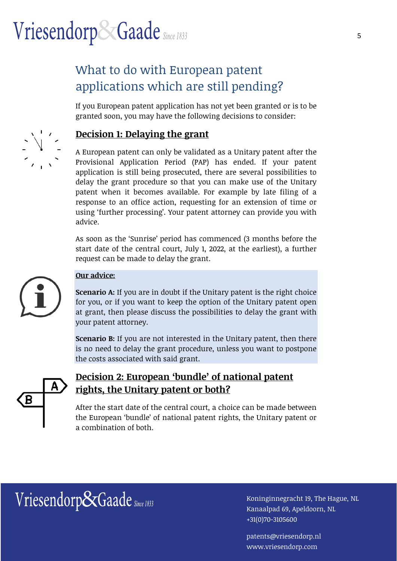### What to do with European patent applications which are still pending?

If you European patent application has not yet been granted or is to be granted soon, you may have the following decisions to consider:

### **Decision 1: Delaying the grant**

A European patent can only be validated as a Unitary patent after the Provisional Application Period (PAP) has ended. If your patent application is still being prosecuted, there are several possibilities to delay the grant procedure so that you can make use of the Unitary patent when it becomes available. For example by late filing of a response to an office action, requesting for an extension of time or using 'further processing'. Your patent attorney can provide you with advice.

As soon as the 'Sunrise' period has commenced (3 months before the start date of the central court, July 1, 2022, at the earliest), a further request can be made to delay the grant.



#### **Our advice:**

**Scenario A:** If you are in doubt if the Unitary patent is the right choice for you, or if you want to keep the option of the Unitary patent open at grant, then please discuss the possibilities to delay the grant with your patent attorney.

**Scenario B:** If you are not interested in the Unitary patent, then there is no need to delay the grant procedure, unless you want to postpone the costs associated with said grant.



### **Decision 2: European 'bundle' of national patent rights, the Unitary patent or both?**

After the start date of the central court, a choice can be made between the European 'bundle' of national patent rights, the Unitary patent or a combination of both.

 $Vriesendorp & Gaade$  Since 1833  $\frac{1}{2}$  Koninginnegracht 19, The Hague, NL

Kanaalpad 69, Apeldoorn, NL +31(0)70-3105600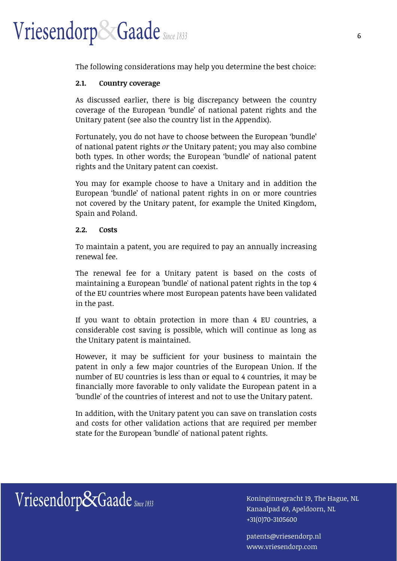The following considerations may help you determine the best choice:

#### **2.1. Country coverage**

As discussed earlier, there is big discrepancy between the country coverage of the European 'bundle' of national patent rights and the Unitary patent (see also the country list in the Appendix).

Fortunately, you do not have to choose between the European 'bundle' of national patent rights *or* the Unitary patent; you may also combine both types. In other words; the European 'bundle' of national patent rights and the Unitary patent can coexist.

You may for example choose to have a Unitary and in addition the European 'bundle' of national patent rights in on or more countries not covered by the Unitary patent, for example the United Kingdom, Spain and Poland.

#### **2.2. Costs**

To maintain a patent, you are required to pay an annually increasing renewal fee.

The renewal fee for a Unitary patent is based on the costs of maintaining a European 'bundle' of national patent rights in the top 4 of the EU countries where most European patents have been validated in the past.

If you want to obtain protection in more than 4 EU countries, a considerable cost saving is possible, which will continue as long as the Unitary patent is maintained.

However, it may be sufficient for your business to maintain the patent in only a few major countries of the European Union. If the number of EU countries is less than or equal to 4 countries, it may be financially more favorable to only validate the European patent in a 'bundle' of the countries of interest and not to use the Unitary patent.

In addition, with the Unitary patent you can save on translation costs and costs for other validation actions that are required per member state for the European 'bundle' of national patent rights.

## Wriesendorp&Gaade Since 1833 Koninginnegracht 19, The Hague, NL

Kanaalpad 69, Apeldoorn, NL +31(0)70-3105600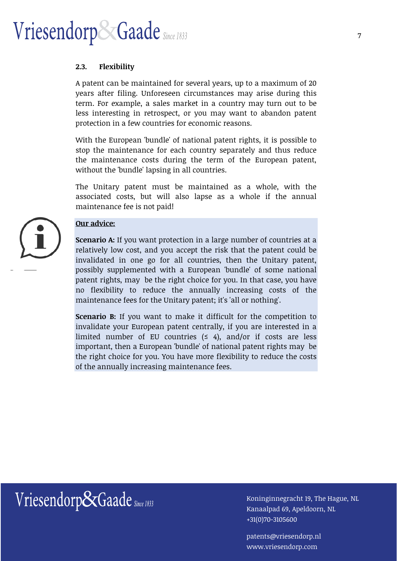#### **2.3. Flexibility**

A patent can be maintained for several years, up to a maximum of 20 years after filing. Unforeseen circumstances may arise during this term. For example, a sales market in a country may turn out to be less interesting in retrospect, or you may want to abandon patent protection in a few countries for economic reasons.

With the European 'bundle' of national patent rights, it is possible to stop the maintenance for each country separately and thus reduce the maintenance costs during the term of the European patent, without the 'bundle' lapsing in all countries.

The Unitary patent must be maintained as a whole, with the associated costs, but will also lapse as a whole if the annual maintenance fee is not paid!

#### **Our advice:**

**Scenario A:** If you want protection in a large number of countries at a relatively low cost, and you accept the risk that the patent could be invalidated in one go for all countries, then the Unitary patent, possibly supplemented with a European 'bundle' of some national patent rights, may be the right choice for you. In that case, you have no flexibility to reduce the annually increasing costs of the maintenance fees for the Unitary patent; it's 'all or nothing'.

**Scenario B:** If you want to make it difficult for the competition to invalidate your European patent centrally, if you are interested in a limited number of EU countries  $(≤ 4)$ , and/or if costs are less important, then a European 'bundle' of national patent rights may be the right choice for you. You have more flexibility to reduce the costs of the annually increasing maintenance fees.

## Wriesendorp&Gaade Since 1833 Koninginnegracht 19, The Hague, NL

Kanaalpad 69, Apeldoorn, NL +31(0)70-3105600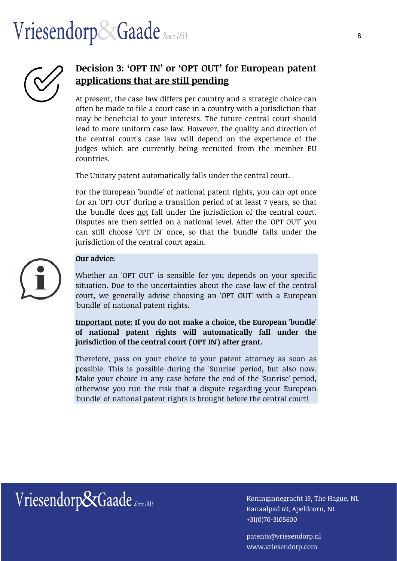

### **Decision 3: 'OPT IN' or 'OPT OUT' for European patent applications that are still pending**

At present, the case law differs per country and a strategic choice can often be made to file a court case in a country with a jurisdiction that may be beneficial to your interests. The future central court should lead to more uniform case law. However, the quality and direction of the central court's case law will depend on the experience of the judges which are currently being recruited from the member EU countries.

The Unitary patent automatically falls under the central court.

For the European 'bundle' of national patent rights, you can opt once for an 'OPT OUT' during a transition period of at least 7 years, so that the 'bundle' does not fall under the jurisdiction of the central court. Disputes are then settled on a national level. After the 'OPT OUT' you can still choose 'OPT IN' once, so that the 'bundle' falls under the jurisdiction of the central court again.



#### **Our advice:**

Whether an 'OPT OUT' is sensible for you depends on your specific situation. Due to the uncertainties about the case law of the central court, we generally advise choosing an 'OPT OUT' with a European 'bundle' of national patent rights.

**Important note: If you do not make a choice, the European 'bundle' of national patent rights will automatically fall under the jurisdiction of the central court ('OPT IN') after grant.** 

Therefore, pass on your choice to your patent attorney as soon as possible. This is possible during the 'Sunrise' period, but also now. Make your choice in any case before the end of the 'Sunrise' period, otherwise you run the risk that a dispute regarding your European 'bundle' of national patent rights is brought before the central court!

Wriesendorp&Gaade Since 1833 Koninginnegracht 19, The Hague, NL

Kanaalpad 69, Apeldoorn, NL +31(0)70-3105600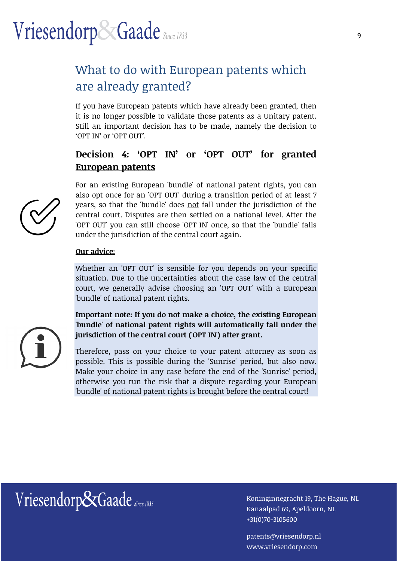### What to do with European patents which are already granted?

If you have European patents which have already been granted, then it is no longer possible to validate those patents as a Unitary patent. Still an important decision has to be made, namely the decision to 'OPT IN' or 'OPT OUT'.

### **Decision 4: 'OPT IN' or 'OPT OUT' for granted European patents**

For an existing European 'bundle' of national patent rights, you can also opt once for an 'OPT OUT' during a transition period of at least 7 years, so that the 'bundle' does not fall under the jurisdiction of the central court. Disputes are then settled on a national level. After the 'OPT OUT' you can still choose 'OPT IN' once, so that the 'bundle' falls under the jurisdiction of the central court again.

#### **Our advice:**

Whether an 'OPT OUT' is sensible for you depends on your specific situation. Due to the uncertainties about the case law of the central court, we generally advise choosing an 'OPT OUT' with a European 'bundle' of national patent rights.

**Important note: If you do not make a choice, the existing European 'bundle' of national patent rights will automatically fall under the jurisdiction of the central court ('OPT IN') after grant.** 

Therefore, pass on your choice to your patent attorney as soon as possible. This is possible during the 'Sunrise' period, but also now. Make your choice in any case before the end of the 'Sunrise' period, otherwise you run the risk that a dispute regarding your European 'bundle' of national patent rights is brought before the central court!



## Wriesendorp&Gaade Since 1833 Koninginnegracht 19, The Hague, NL

Kanaalpad 69, Apeldoorn, NL +31(0)70-3105600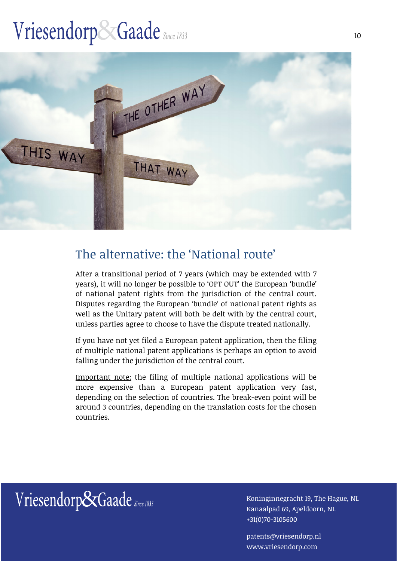

### The alternative: the 'National route'

After a transitional period of 7 years (which may be extended with 7 years), it will no longer be possible to 'OPT OUT' the European 'bundle' of national patent rights from the jurisdiction of the central court. Disputes regarding the European 'bundle' of national patent rights as well as the Unitary patent will both be delt with by the central court, unless parties agree to choose to have the dispute treated nationally.

If you have not yet filed a European patent application, then the filing of multiple national patent applications is perhaps an option to avoid falling under the jurisdiction of the central court.

Important note: the filing of multiple national applications will be more expensive than a European patent application very fast, depending on the selection of countries. The break-even point will be around 3 countries, depending on the translation costs for the chosen countries.

Wriesendorp&Gaade Since 1833 [19] Koninginnegracht 19, The Hague, NL

Kanaalpad 69, Apeldoorn, NL +31(0)70-3105600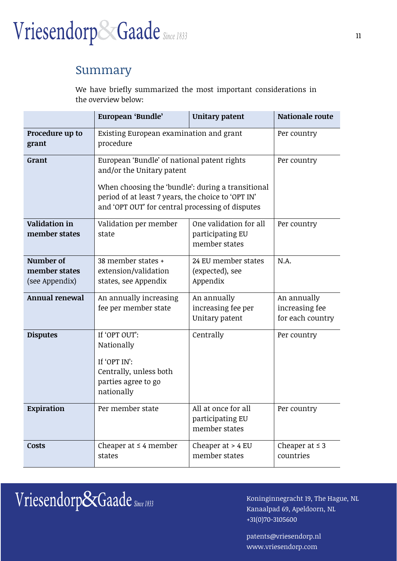

### Summary

We have briefly summarized the most important considerations in the overview below:

|                                              | European 'Bundle'                                                                                                                                                                                                                       | Unitary patent                                              | <b>Nationale route</b>                            |
|----------------------------------------------|-----------------------------------------------------------------------------------------------------------------------------------------------------------------------------------------------------------------------------------------|-------------------------------------------------------------|---------------------------------------------------|
| Procedure up to<br>grant                     | Existing European examination and grant<br>procedure                                                                                                                                                                                    |                                                             | Per country                                       |
| Grant                                        | European 'Bundle' of national patent rights<br>and/or the Unitary patent<br>When choosing the 'bundle': during a transitional<br>period of at least 7 years, the choice to 'OPT IN'<br>and 'OPT OUT' for central processing of disputes |                                                             | Per country                                       |
| <b>Validation in</b><br>member states        | Validation per member<br>state                                                                                                                                                                                                          | One validation for all<br>participating EU<br>member states | Per country                                       |
| Number of<br>member states<br>(see Appendix) | 38 member states +<br>extension/validation<br>states, see Appendix                                                                                                                                                                      | 24 EU member states<br>(expected), see<br>Appendix          | N.A.                                              |
| Annual renewal                               | An annually increasing<br>fee per member state                                                                                                                                                                                          | An annually<br>increasing fee per<br>Unitary patent         | An annually<br>increasing fee<br>for each country |
| <b>Disputes</b>                              | If 'OPT OUT':<br>Nationally<br>If 'OPT IN':<br>Centrally, unless both<br>parties agree to go<br>nationally                                                                                                                              | Centrally                                                   | Per country                                       |
| Expiration                                   | Per member state                                                                                                                                                                                                                        | All at once for all<br>participating EU<br>member states    | Per country                                       |
| <b>Costs</b>                                 | Cheaper at $\leq 4$ member<br>states                                                                                                                                                                                                    | Cheaper at $> 4$ EU<br>member states                        | Cheaper at $\leq$ 3<br>countries                  |

## $Vriesendorp\&Gaade_{\textit{Since 1833}}\qquad \qquad \text{Koninginnegative, NLP and G. The Hague, NL}$

Kanaalpad 69, Apeldoorn, NL +31(0)70-3105600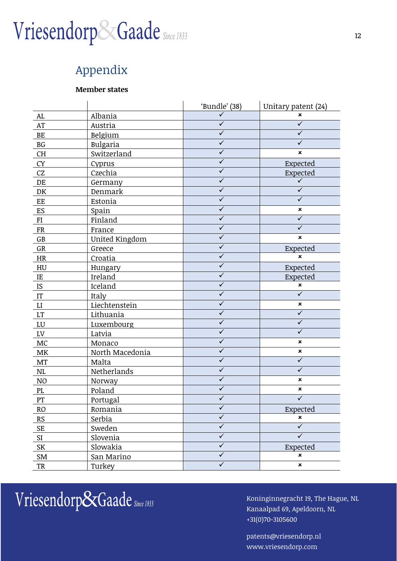### Appendix

#### **Member states**

|                            |                 | 'Bundle' (38)           | Unitary patent (24)       |
|----------------------------|-----------------|-------------------------|---------------------------|
| ${\rm AL}$                 | Albania         |                         | ×                         |
| AT                         | Austria         | $\overline{\checkmark}$ | $\overline{\checkmark}$   |
| BE                         | Belgium         | $\overline{\checkmark}$ | $\checkmark$              |
| BG                         | Bulgaria        | $\checkmark$            | ✓                         |
| CH                         | Switzerland     | $\checkmark$            | $\boldsymbol{\mathsf{x}}$ |
| <b>CY</b>                  | Cyprus          | ✓                       | Expected                  |
| CZ                         | Czechia         | $\checkmark$            | Expected                  |
| DE                         | Germany         | $\overline{\checkmark}$ | $\checkmark$              |
| DK                         | Denmark         | $\checkmark$            | ✓                         |
| EE                         | Estonia         | $\overline{\checkmark}$ | $\sqrt{}$                 |
| ES                         | Spain           | ✓                       | ×                         |
| FI                         | Finland         | $\checkmark$            | ✓                         |
| FR                         | France          | $\checkmark$            | ✓                         |
| $\mathbb{G}\mathbb{B}$     | United Kingdom  | $\checkmark$            | ×                         |
| GR                         | Greece          | $\checkmark$            | Expected                  |
| HR                         | Croatia         | $\overline{\checkmark}$ | ×                         |
| HU                         | Hungary         | $\checkmark$            | Expected                  |
| IE                         | Ireland         | $\checkmark$            | Expected                  |
| IS                         | Iceland         | $\overline{\checkmark}$ | $\pmb{\times}$            |
| $\ensuremath{\mathsf{IT}}$ | Italy           | $\checkmark$            | $\checkmark$              |
| LI                         | Liechtenstein   | $\overline{\checkmark}$ | $\pmb{\times}$            |
| $\mathop{\rm LT}\nolimits$ | Lithuania       | $\checkmark$            | $\checkmark$              |
| LU                         | Luxembourg      | $\checkmark$            | $\checkmark$              |
| LV                         | Latvia          | $\checkmark$            | $\checkmark$              |
| $MC$                       | Monaco          | $\overline{\checkmark}$ | ×                         |
| $\ensuremath{\mathsf{MK}}$ | North Macedonia | $\checkmark$            | ×                         |
| MT                         | Malta           | $\overline{\checkmark}$ | $\checkmark$              |
| $\rm NL$                   | Netherlands     | ✓                       | ✓                         |
| N <sub>O</sub>             | Norway          | $\checkmark$            | ×                         |
| PL                         | Poland          | ✓                       | ×                         |
| PT                         | Portugal        | ✓                       | $\checkmark$              |
| R <sub>O</sub>             | Romania         | $\checkmark$            | Expected                  |
| RS                         | Serbia          | $\overline{\checkmark}$ | $\pmb{\times}$            |
| <b>SE</b>                  | Sweden          | $\checkmark$            | $\overline{\checkmark}$   |
| SI                         | Slovenia        | $\overline{\checkmark}$ | $\overline{\checkmark}$   |
| SK                         | Slowakia        | $\checkmark$            | Expected                  |
| SM                         | San Marino      | $\checkmark$            | ×                         |
| TR                         | Turkey          | $\overline{\checkmark}$ | $\pmb{\times}$            |

 $Vriesendorp\&Gaade$  Since 1833  $\frac{1}{1000}$  Koninginnegracht 19, The Hague, NL

Kanaalpad 69, Apeldoorn, NL +31(0)70-3105600